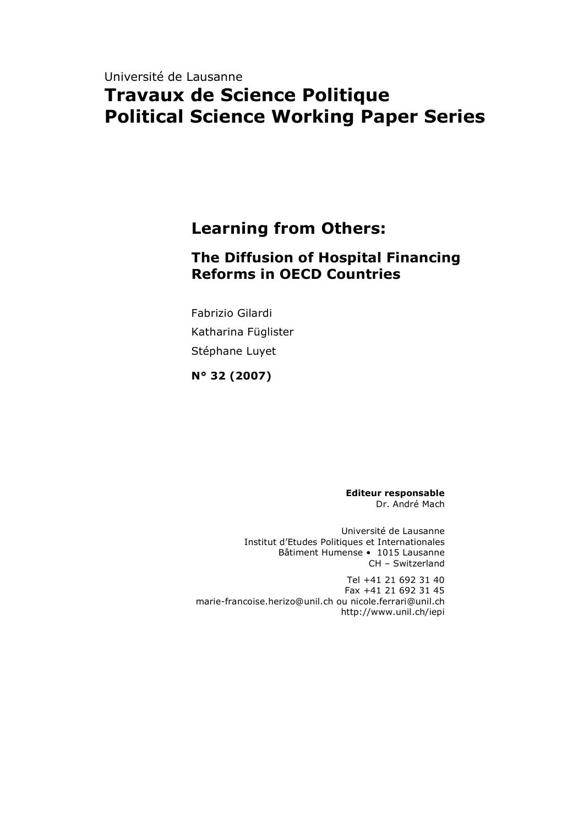# Université de Lausanne **Travaux de Science Politique Political Science Working Paper Series**

# **Learning from Others:**

# **The Diffusion of Hospital Financing Reforms in OECD Countries**

Fabrizio Gilardi Katharina Füglister Stéphane Luyet

**N° 32 (2007)**

**Editeur responsable** Dr. André Mach

Université de Lausanne Institut d'Etudes Politiques et Internationales Bâtiment Humense • 1015 Lausanne CH – Switzerland

Tel +41 21 692 31 40 Fax +41 21 692 31 45 marie-francoise.herizo@unil.ch ou nicole.ferrari@unil.ch http://www.unil.ch/iepi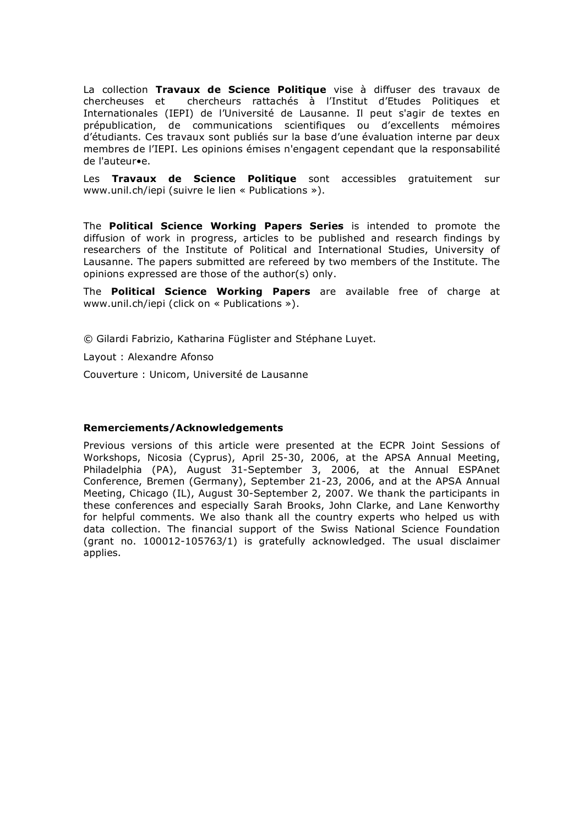La collection **Travaux de Science Politique** vise à diffuser des travaux de chercheuses et chercheurs rattachés à l'Institut d'Etudes Politiques et Internationales (IEPI) de l'Université de Lausanne. Il peut s'agir de textes en prépublication, de communications scientifiques ou d'excellents mémoires d'étudiants. Ces travaux sont publiés sur la base d'une évaluation interne par deux membres de l'IEPI. Les opinions émises n'engagent cependant que la responsabilité de l'auteur•e.

Les **Travaux de Science Politique** sont accessibles gratuitement sur www.unil.ch/iepi (suivre le lien « Publications »).

The **Political Science Working Papers Series** is intended to promote the diffusion of work in progress, articles to be published and research findings by researchers of the Institute of Political and International Studies, University of Lausanne. The papers submitted are refereed by two members of the Institute. The opinions expressed are those of the author(s) only.

The **Political Science Working Papers** are available free of charge at www.unil.ch/iepi (click on « Publications »).

© Gilardi Fabrizio, Katharina Füglister and Stéphane Luyet.

Layout : Alexandre Afonso

Couverture : Unicom, Université de Lausanne

#### **Remerciements/Acknowledgements**

Previous versions of this article were presented at the ECPR Joint Sessions of Workshops, Nicosia (Cyprus), April 25-30, 2006, at the APSA Annual Meeting, Philadelphia (PA), August 31-September 3, 2006, at the Annual ESPAnet Conference, Bremen (Germany), September 21-23, 2006, and at the APSA Annual Meeting, Chicago (IL), August 30-September 2, 2007. We thank the participants in these conferences and especially Sarah Brooks, John Clarke, and Lane Kenworthy for helpful comments. We also thank all the country experts who helped us with data collection. The financial support of the Swiss National Science Foundation (grant no. 100012-105763/1) is gratefully acknowledged. The usual disclaimer applies.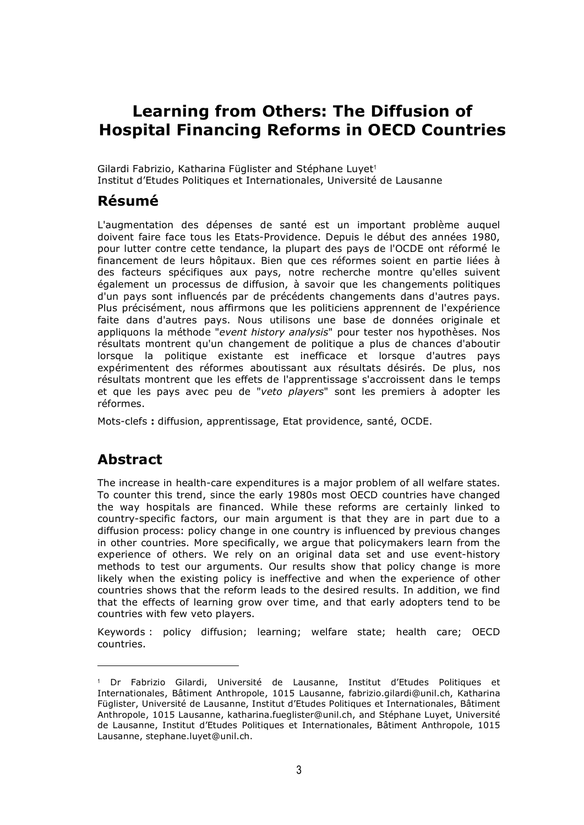# **Learning from Others: The Diffusion of Hospital Financing Reforms in OECD Countries**

Gilardi Fabrizio, Katharina Füglister and Stéphane Luyet<sup>1</sup> Institut d'Etudes Politiques et Internationales, Université de Lausanne

## **Résumé**

L'augmentation des dépenses de santé est un important problème auquel doivent faire face tous les Etats-Providence. Depuis le début des années 1980, pour lutter contre cette tendance, la plupart des pays de l'OCDE ont réformé le financement de leurs hôpitaux. Bien que ces réformes soient en partie liées à des facteurs spécifiques aux pays, notre recherche montre qu'elles suivent également un processus de diffusion, à savoir que les changements politiques d'un pays sont influencés par de précédents changements dans d'autres pays. Plus précisément, nous affirmons que les politiciens apprennent de l'expérience faite dans d'autres pays. Nous utilisons une base de données originale et appliquons la méthode "*event history analysis*" pour tester nos hypothèses. Nos résultats montrent qu'un changement de politique a plus de chances d'aboutir lorsque la politique existante est inefficace et lorsque d'autres pays expérimentent des réformes aboutissant aux résultats désirés. De plus, nos résultats montrent que les effets de l'apprentissage s'accroissent dans le temps et que les pays avec peu de "*veto players*" sont les premiers à adopter les réformes.

Mots-clefs **:** diffusion, apprentissage, Etat providence, santé, OCDE.

# **Abstract**

l

The increase in health-care expenditures is a major problem of all welfare states. To counter this trend, since the early 1980s most OECD countries have changed the way hospitals are financed. While these reforms are certainly linked to country-specific factors, our main argument is that they are in part due to a diffusion process: policy change in one country is influenced by previous changes in other countries. More specifically, we argue that policymakers learn from the experience of others. We rely on an original data set and use event-history methods to test our arguments. Our results show that policy change is more likely when the existing policy is ineffective and when the experience of other countries shows that the reform leads to the desired results. In addition, we find that the effects of learning grow over time, and that early adopters tend to be countries with few veto players.

Keywords : policy diffusion; learning; welfare state; health care; OECD countries.

<sup>1</sup> Dr Fabrizio Gilardi, Université de Lausanne, Institut d'Etudes Politiques et Internationales, Bâtiment Anthropole, 1015 Lausanne, fabrizio.gilardi@unil.ch, Katharina Füglister, Université de Lausanne, Institut d'Etudes Politiques et Internationales, Bâtiment Anthropole, 1015 Lausanne, katharina.fueglister@unil.ch, and Stéphane Luyet, Université de Lausanne, Institut d'Etudes Politiques et Internationales, Bâtiment Anthropole, 1015 Lausanne, stephane.luyet@unil.ch.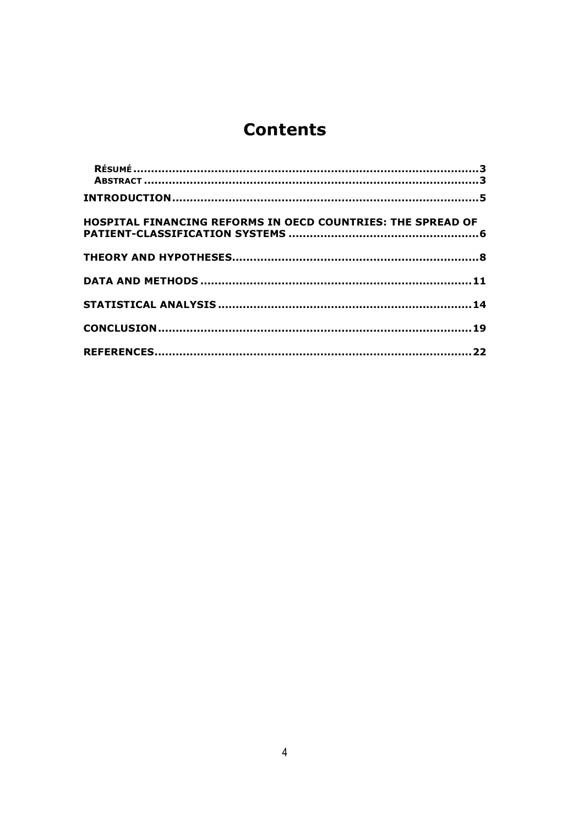# **Contents**

| HOSPITAL FINANCING REFORMS IN OECD COUNTRIES: THE SPREAD OF |  |
|-------------------------------------------------------------|--|
|                                                             |  |
|                                                             |  |
|                                                             |  |
|                                                             |  |
|                                                             |  |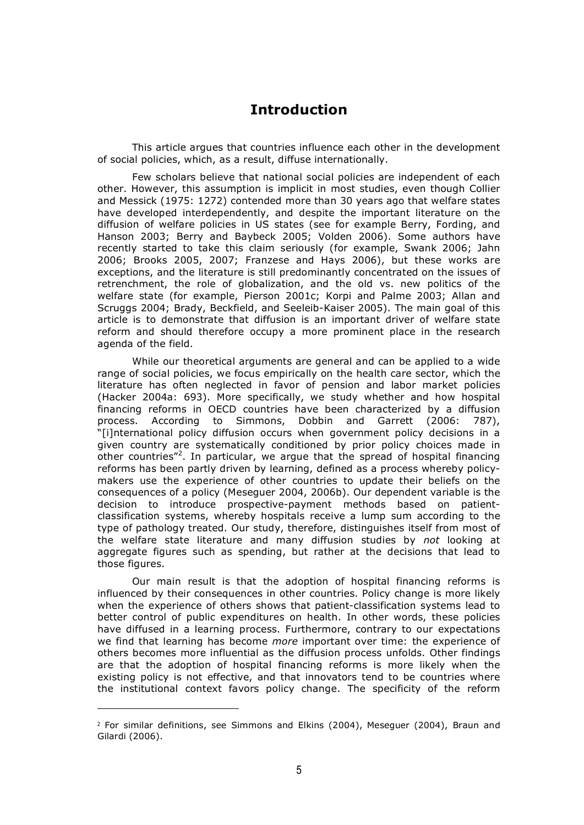## **Introduction**

This article argues that countries influence each other in the development of social policies, which, as a result, diffuse internationally.

Few scholars believe that national social policies are independent of each other. However, this assumption is implicit in most studies, even though Collier and Messick (1975: 1272) contended more than 30 years ago that welfare states have developed interdependently, and despite the important literature on the diffusion of welfare policies in US states (see for example Berry, Fording, and Hanson 2003; Berry and Baybeck 2005; Volden 2006). Some authors have recently started to take this claim seriously (for example, Swank 2006; Jahn 2006; Brooks 2005, 2007; Franzese and Hays 2006), but these works are exceptions, and the literature is still predominantly concentrated on the issues of retrenchment, the role of globalization, and the old vs. new politics of the welfare state (for example, Pierson 2001c; Korpi and Palme 2003; Allan and Scruggs 2004; Brady, Beckfield, and Seeleib-Kaiser 2005). The main goal of this article is to demonstrate that diffusion is an important driver of welfare state reform and should therefore occupy a more prominent place in the research agenda of the field.

While our theoretical arguments are general and can be applied to a wide range of social policies, we focus empirically on the health care sector, which the literature has often neglected in favor of pension and labor market policies (Hacker 2004a: 693). More specifically, we study whether and how hospital financing reforms in OECD countries have been characterized by a diffusion process. According to Simmons, Dobbin and Garrett (2006: 787), "[i]nternational policy diffusion occurs when government policy decisions in a given country are systematically conditioned by prior policy choices made in other countries"<sup>2</sup>. In particular, we argue that the spread of hospital financing reforms has been partly driven by learning, defined as a process whereby policymakers use the experience of other countries to update their beliefs on the consequences of a policy (Meseguer 2004, 2006b). Our dependent variable is the decision to introduce prospective-payment methods based on patientclassification systems, whereby hospitals receive a lump sum according to the type of pathology treated. Our study, therefore, distinguishes itself from most of the welfare state literature and many diffusion studies by *not* looking at aggregate figures such as spending, but rather at the decisions that lead to those figures.

Our main result is that the adoption of hospital financing reforms is influenced by their consequences in other countries. Policy change is more likely when the experience of others shows that patient-classification systems lead to better control of public expenditures on health. In other words, these policies have diffused in a learning process. Furthermore, contrary to our expectations we find that learning has become *more* important over time: the experience of others becomes more influential as the diffusion process unfolds. Other findings are that the adoption of hospital financing reforms is more likely when the existing policy is not effective, and that innovators tend to be countries where the institutional context favors policy change. The specificity of the reform

 $2$  For similar definitions, see Simmons and Elkins (2004), Meseguer (2004), Braun and Gilardi (2006).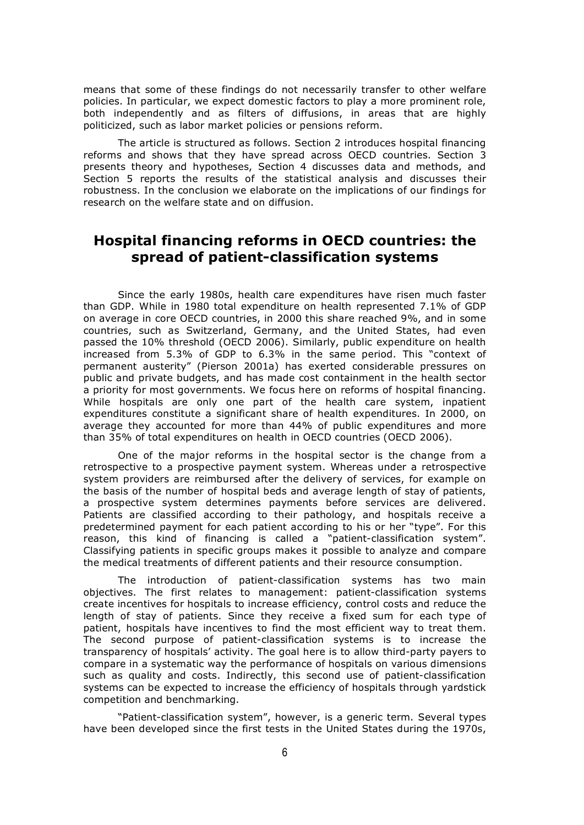means that some of these findings do not necessarily transfer to other welfare policies. In particular, we expect domestic factors to play a more prominent role, both independently and as filters of diffusions, in areas that are highly politicized, such as labor market policies or pensions reform.

The article is structured as follows. Section 2 introduces hospital financing reforms and shows that they have spread across OECD countries. Section 3 presents theory and hypotheses, Section 4 discusses data and methods, and Section 5 reports the results of the statistical analysis and discusses their robustness. In the conclusion we elaborate on the implications of our findings for research on the welfare state and on diffusion.

#### **Hospital financing reforms in OECD countries: the spread of patient-classification systems**

Since the early 1980s, health care expenditures have risen much faster than GDP. While in 1980 total expenditure on health represented 7.1% of GDP on average in core OECD countries, in 2000 this share reached 9%, and in some countries, such as Switzerland, Germany, and the United States, had even passed the 10% threshold (OECD 2006). Similarly, public expenditure on health increased from 5.3% of GDP to 6.3% in the same period. This "context of permanent austerity" (Pierson 2001a) has exerted considerable pressures on public and private budgets, and has made cost containment in the health sector a priority for most governments. We focus here on reforms of hospital financing. While hospitals are only one part of the health care system, inpatient expenditures constitute a significant share of health expenditures. In 2000, on average they accounted for more than 44% of public expenditures and more than 35% of total expenditures on health in OECD countries (OECD 2006).

One of the major reforms in the hospital sector is the change from a retrospective to a prospective payment system. Whereas under a retrospective system providers are reimbursed after the delivery of services, for example on the basis of the number of hospital beds and average length of stay of patients, a prospective system determines payments before services are delivered. Patients are classified according to their pathology, and hospitals receive a predetermined payment for each patient according to his or her "type". For this reason, this kind of financing is called a "patient-classification system". Classifying patients in specific groups makes it possible to analyze and compare the medical treatments of different patients and their resource consumption.

The introduction of patient-classification systems has two main objectives. The first relates to management: patient-classification systems create incentives for hospitals to increase efficiency, control costs and reduce the length of stay of patients. Since they receive a fixed sum for each type of patient, hospitals have incentives to find the most efficient way to treat them. The second purpose of patient-classification systems is to increase the transparency of hospitals' activity. The goal here is to allow third-party payers to compare in a systematic way the performance of hospitals on various dimensions such as quality and costs. Indirectly, this second use of patient-classification systems can be expected to increase the efficiency of hospitals through yardstick competition and benchmarking.

"Patient-classification system", however, is a generic term. Several types have been developed since the first tests in the United States during the 1970s,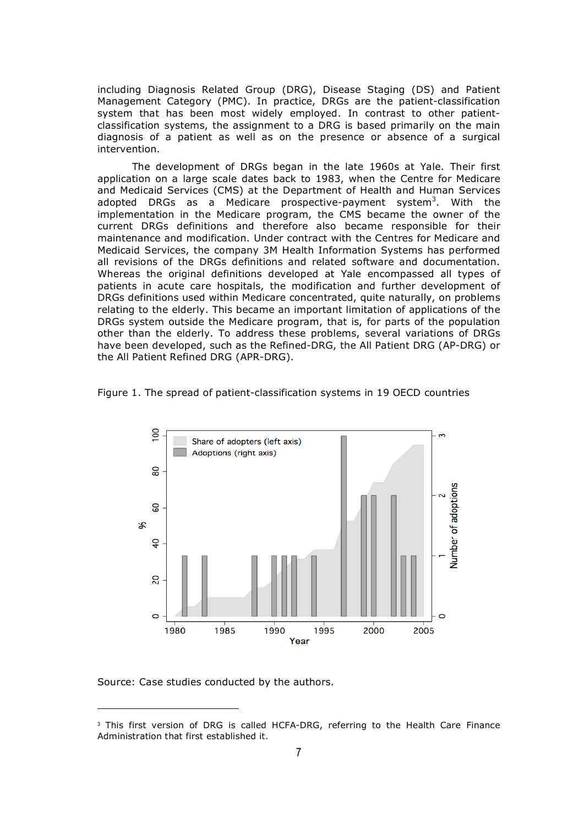including Diagnosis Related Group (DRG), Disease Staging (DS) and Patient Management Category (PMC). In practice, DRGs are the patient-classification system that has been most widely employed. In contrast to other patientclassification systems, the assignment to a DRG is based primarily on the main diagnosis of a patient as well as on the presence or absence of a surgical intervention.

The development of DRGs began in the late 1960s at Yale. Their first application on a large scale dates back to 1983, when the Centre for Medicare and Medicaid Services (CMS) at the Department of Health and Human Services adopted DRGs as a Medicare prospective-payment system<sup>3</sup>. With the implementation in the Medicare program, the CMS became the owner of the current DRGs definitions and therefore also became responsible for their maintenance and modification. Under contract with the Centres for Medicare and Medicaid Services, the company 3M Health Information Systems has performed all revisions of the DRGs definitions and related software and documentation. Whereas the original definitions developed at Yale encompassed all types of patients in acute care hospitals, the modification and further development of DRGs definitions used within Medicare concentrated, quite naturally, on problems relating to the elderly. This became an important limitation of applications of the DRGs system outside the Medicare program, that is, for parts of the population other than the elderly. To address these problems, several variations of DRGs have been developed, such as the Refined-DRG, the All Patient DRG (AP-DRG) or the All Patient Refined DRG (APR-DRG).





Source: Case studies conducted by the authors.

<sup>&</sup>lt;sup>3</sup> This first version of DRG is called HCFA-DRG, referring to the Health Care Finance Administration that first established it.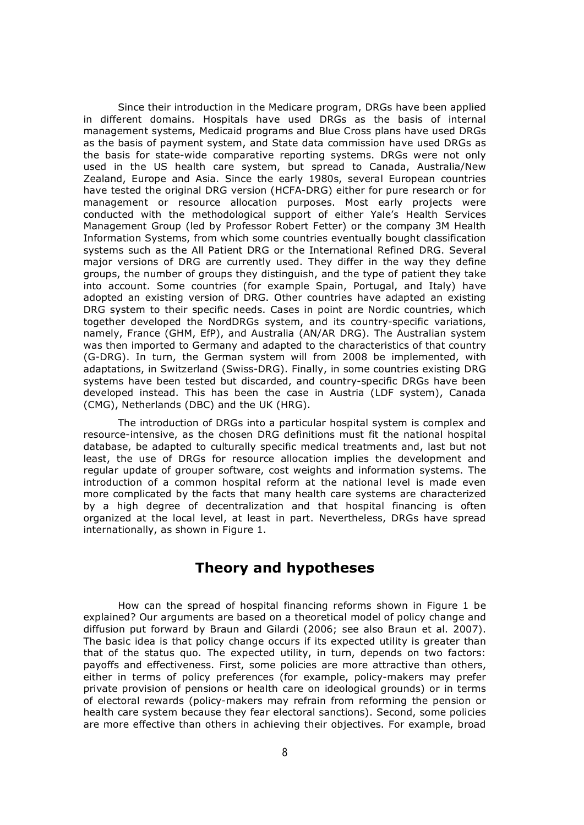Since their introduction in the Medicare program, DRGs have been applied in different domains. Hospitals have used DRGs as the basis of internal management systems, Medicaid programs and Blue Cross plans have used DRGs as the basis of payment system, and State data commission have used DRGs as the basis for state-wide comparative reporting systems. DRGs were not only used in the US health care system, but spread to Canada, Australia/New Zealand, Europe and Asia. Since the early 1980s, several European countries have tested the original DRG version (HCFA-DRG) either for pure research or for management or resource allocation purposes. Most early projects were conducted with the methodological support of either Yale's Health Services Management Group (led by Professor Robert Fetter) or the company 3M Health Information Systems, from which some countries eventually bought classification systems such as the All Patient DRG or the International Refined DRG. Several major versions of DRG are currently used. They differ in the way they define groups, the number of groups they distinguish, and the type of patient they take into account. Some countries (for example Spain, Portugal, and Italy) have adopted an existing version of DRG. Other countries have adapted an existing DRG system to their specific needs. Cases in point are Nordic countries, which together developed the NordDRGs system, and its country-specific variations, namely, France (GHM, EfP), and Australia (AN/AR DRG). The Australian system was then imported to Germany and adapted to the characteristics of that country (G-DRG). In turn, the German system will from 2008 be implemented, with adaptations, in Switzerland (Swiss-DRG). Finally, in some countries existing DRG systems have been tested but discarded, and country-specific DRGs have been developed instead. This has been the case in Austria (LDF system), Canada (CMG), Netherlands (DBC) and the UK (HRG).

The introduction of DRGs into a particular hospital system is complex and resource-intensive, as the chosen DRG definitions must fit the national hospital database, be adapted to culturally specific medical treatments and, last but not least, the use of DRGs for resource allocation implies the development and regular update of grouper software, cost weights and information systems. The introduction of a common hospital reform at the national level is made even more complicated by the facts that many health care systems are characterized by a high degree of decentralization and that hospital financing is often organized at the local level, at least in part. Nevertheless, DRGs have spread internationally, as shown in Figure 1.

#### **Theory and hypotheses**

How can the spread of hospital financing reforms shown in Figure 1 be explained? Our arguments are based on a theoretical model of policy change and diffusion put forward by Braun and Gilardi (2006; see also Braun et al. 2007). The basic idea is that policy change occurs if its expected utility is greater than that of the status quo. The expected utility, in turn, depends on two factors: payoffs and effectiveness. First, some policies are more attractive than others, either in terms of policy preferences (for example, policy-makers may prefer private provision of pensions or health care on ideological grounds) or in terms of electoral rewards (policy-makers may refrain from reforming the pension or health care system because they fear electoral sanctions). Second, some policies are more effective than others in achieving their objectives. For example, broad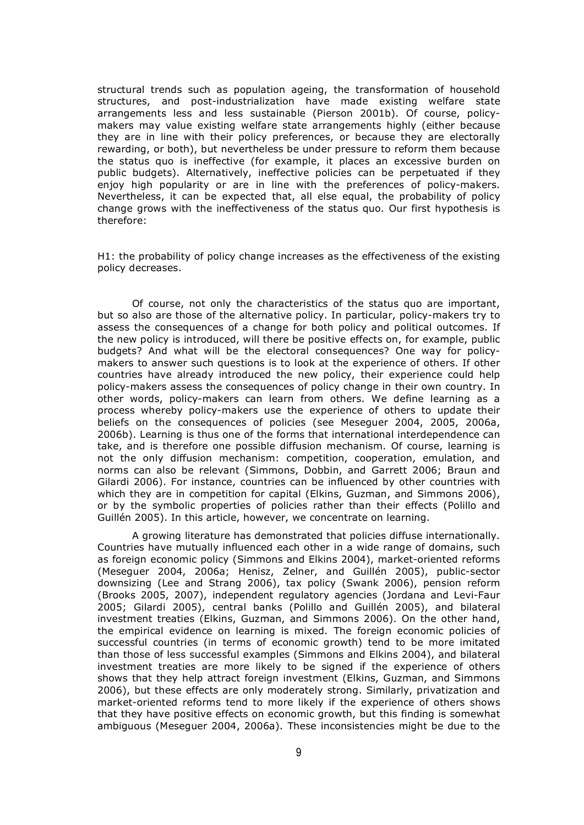structural trends such as population ageing, the transformation of household structures, and post-industrialization have made existing welfare state arrangements less and less sustainable (Pierson 2001b). Of course, policymakers may value existing welfare state arrangements highly (either because they are in line with their policy preferences, or because they are electorally rewarding, or both), but nevertheless be under pressure to reform them because the status quo is ineffective (for example, it places an excessive burden on public budgets). Alternatively, ineffective policies can be perpetuated if they enjoy high popularity or are in line with the preferences of policy-makers. Nevertheless, it can be expected that, all else equal, the probability of policy change grows with the ineffectiveness of the status quo. Our first hypothesis is therefore:

H1: the probability of policy change increases as the effectiveness of the existing policy decreases.

Of course, not only the characteristics of the status quo are important, but so also are those of the alternative policy. In particular, policy-makers try to assess the consequences of a change for both policy and political outcomes. If the new policy is introduced, will there be positive effects on, for example, public budgets? And what will be the electoral consequences? One way for policymakers to answer such questions is to look at the experience of others. If other countries have already introduced the new policy, their experience could help policy-makers assess the consequences of policy change in their own country. In other words, policy-makers can learn from others. We define learning as a process whereby policy-makers use the experience of others to update their beliefs on the consequences of policies (see Meseguer 2004, 2005, 2006a, 2006b). Learning is thus one of the forms that international interdependence can take, and is therefore one possible diffusion mechanism. Of course, learning is not the only diffusion mechanism: competition, cooperation, emulation, and norms can also be relevant (Simmons, Dobbin, and Garrett 2006; Braun and Gilardi 2006). For instance, countries can be influenced by other countries with which they are in competition for capital (Elkins, Guzman, and Simmons 2006), or by the symbolic properties of policies rather than their effects (Polillo and Guillén 2005). In this article, however, we concentrate on learning.

A growing literature has demonstrated that policies diffuse internationally. Countries have mutually influenced each other in a wide range of domains, such as foreign economic policy (Simmons and Elkins 2004), market-oriented reforms (Meseguer 2004, 2006a; Henisz, Zelner, and Guillén 2005), public-sector downsizing (Lee and Strang 2006), tax policy (Swank 2006), pension reform (Brooks 2005, 2007), independent regulatory agencies (Jordana and Levi-Faur 2005; Gilardi 2005), central banks (Polillo and Guillén 2005), and bilateral investment treaties (Elkins, Guzman, and Simmons 2006). On the other hand, the empirical evidence on learning is mixed. The foreign economic policies of successful countries (in terms of economic growth) tend to be more imitated than those of less successful examples (Simmons and Elkins 2004), and bilateral investment treaties are more likely to be signed if the experience of others shows that they help attract foreign investment (Elkins, Guzman, and Simmons 2006), but these effects are only moderately strong. Similarly, privatization and market-oriented reforms tend to more likely if the experience of others shows that they have positive effects on economic growth, but this finding is somewhat ambiguous (Meseguer 2004, 2006a). These inconsistencies might be due to the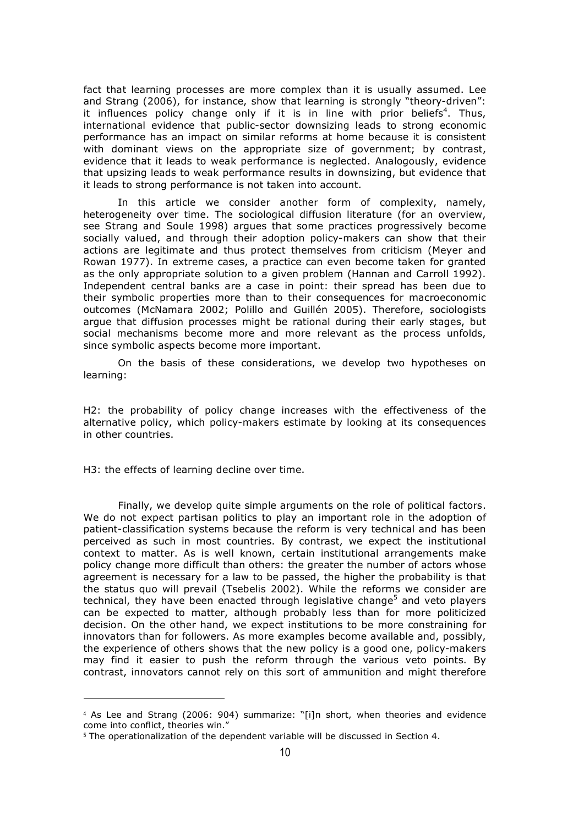fact that learning processes are more complex than it is usually assumed. Lee and Strang (2006), for instance, show that learning is strongly "theory-driven": it influences policy change only if it is in line with prior beliefs<sup>4</sup>. Thus, international evidence that public-sector downsizing leads to strong economic performance has an impact on similar reforms at home because it is consistent with dominant views on the appropriate size of government; by contrast, evidence that it leads to weak performance is neglected. Analogously, evidence that upsizing leads to weak performance results in downsizing, but evidence that it leads to strong performance is not taken into account.

In this article we consider another form of complexity, namely, heterogeneity over time. The sociological diffusion literature (for an overview, see Strang and Soule 1998) argues that some practices progressively become socially valued, and through their adoption policy-makers can show that their actions are legitimate and thus protect themselves from criticism (Meyer and Rowan 1977). In extreme cases, a practice can even become taken for granted as the only appropriate solution to a given problem (Hannan and Carroll 1992). Independent central banks are a case in point: their spread has been due to their symbolic properties more than to their consequences for macroeconomic outcomes (McNamara 2002; Polillo and Guillén 2005). Therefore, sociologists argue that diffusion processes might be rational during their early stages, but social mechanisms become more and more relevant as the process unfolds, since symbolic aspects become more important.

On the basis of these considerations, we develop two hypotheses on learning:

H2: the probability of policy change increases with the effectiveness of the alternative policy, which policy-makers estimate by looking at its consequences in other countries.

H3: the effects of learning decline over time.

-

Finally, we develop quite simple arguments on the role of political factors. We do not expect partisan politics to play an important role in the adoption of patient-classification systems because the reform is very technical and has been perceived as such in most countries. By contrast, we expect the institutional context to matter. As is well known, certain institutional arrangements make policy change more difficult than others: the greater the number of actors whose agreement is necessary for a law to be passed, the higher the probability is that the status quo will prevail (Tsebelis 2002). While the reforms we consider are technical, they have been enacted through legislative change<sup>5</sup> and veto players can be expected to matter, although probably less than for more politicized decision. On the other hand, we expect institutions to be more constraining for innovators than for followers. As more examples become available and, possibly, the experience of others shows that the new policy is a good one, policy-makers may find it easier to push the reform through the various veto points. By contrast, innovators cannot rely on this sort of ammunition and might therefore

<sup>4</sup> As Lee and Strang (2006: 904) summarize: "[i]n short, when theories and evidence come into conflict, theories win."

<sup>5</sup> The operationalization of the dependent variable will be discussed in Section 4.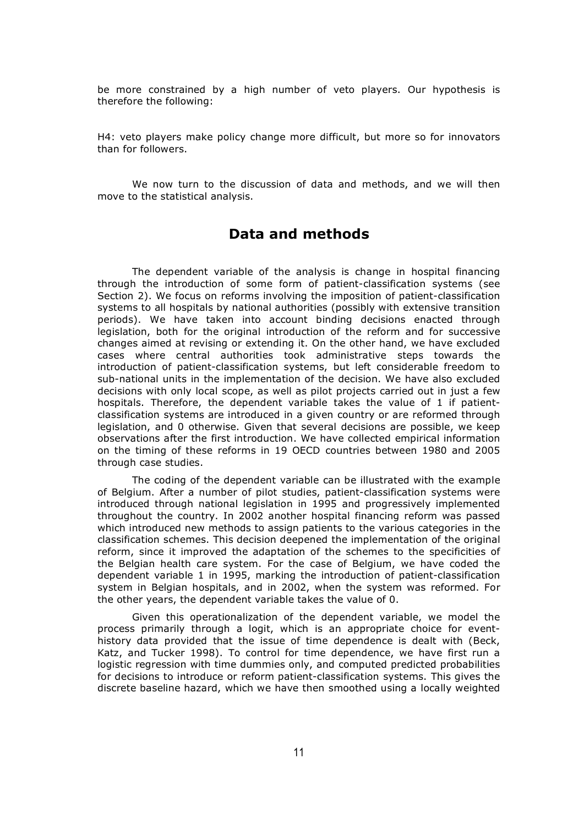be more constrained by a high number of veto players. Our hypothesis is therefore the following:

H4: veto players make policy change more difficult, but more so for innovators than for followers.

We now turn to the discussion of data and methods, and we will then move to the statistical analysis.

#### **Data and methods**

The dependent variable of the analysis is change in hospital financing through the introduction of some form of patient-classification systems (see Section 2). We focus on reforms involving the imposition of patient-classification systems to all hospitals by national authorities (possibly with extensive transition periods). We have taken into account binding decisions enacted through legislation, both for the original introduction of the reform and for successive changes aimed at revising or extending it. On the other hand, we have excluded cases where central authorities took administrative steps towards the introduction of patient-classification systems, but left considerable freedom to sub-national units in the implementation of the decision. We have also excluded decisions with only local scope, as well as pilot projects carried out in just a few hospitals. Therefore, the dependent variable takes the value of 1 if patientclassification systems are introduced in a given country or are reformed through legislation, and 0 otherwise. Given that several decisions are possible, we keep observations after the first introduction. We have collected empirical information on the timing of these reforms in 19 OECD countries between 1980 and 2005 through case studies.

The coding of the dependent variable can be illustrated with the example of Belgium. After a number of pilot studies, patient-classification systems were introduced through national legislation in 1995 and progressively implemented throughout the country. In 2002 another hospital financing reform was passed which introduced new methods to assign patients to the various categories in the classification schemes. This decision deepened the implementation of the original reform, since it improved the adaptation of the schemes to the specificities of the Belgian health care system. For the case of Belgium, we have coded the dependent variable 1 in 1995, marking the introduction of patient-classification system in Belgian hospitals, and in 2002, when the system was reformed. For the other years, the dependent variable takes the value of 0.

Given this operationalization of the dependent variable, we model the process primarily through a logit, which is an appropriate choice for eventhistory data provided that the issue of time dependence is dealt with (Beck, Katz, and Tucker 1998). To control for time dependence, we have first run a logistic regression with time dummies only, and computed predicted probabilities for decisions to introduce or reform patient-classification systems. This gives the discrete baseline hazard, which we have then smoothed using a locally weighted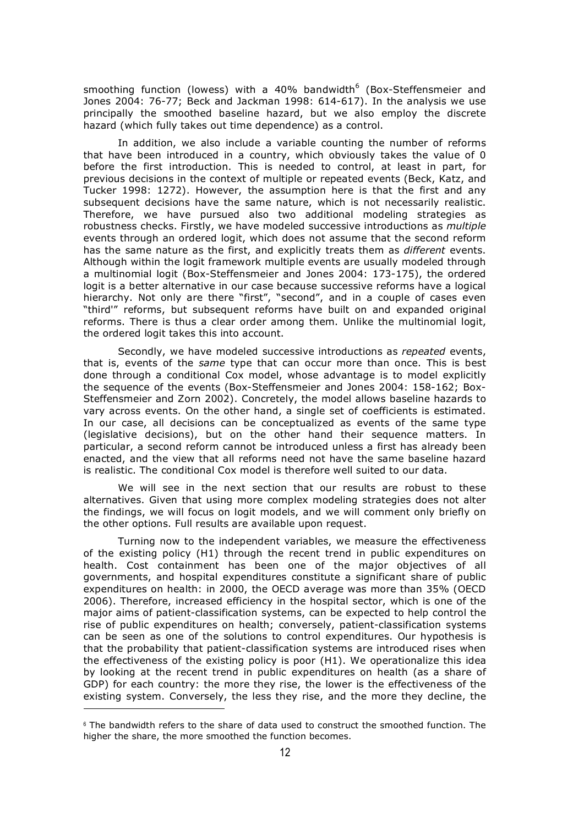smoothing function (lowess) with a 40% bandwidth $6$  (Box-Steffensmeier and Jones 2004: 76-77; Beck and Jackman 1998: 614-617). In the analysis we use principally the smoothed baseline hazard, but we also employ the discrete hazard (which fully takes out time dependence) as a control.

In addition, we also include a variable counting the number of reforms that have been introduced in a country, which obviously takes the value of 0 before the first introduction. This is needed to control, at least in part, for previous decisions in the context of multiple or repeated events (Beck, Katz, and Tucker 1998: 1272). However, the assumption here is that the first and any subsequent decisions have the same nature, which is not necessarily realistic. Therefore, we have pursued also two additional modeling strategies as robustness checks. Firstly, we have modeled successive introductions as *multiple* events through an ordered logit, which does not assume that the second reform has the same nature as the first, and explicitly treats them as *different* events. Although within the logit framework multiple events are usually modeled through a multinomial logit (Box-Steffensmeier and Jones 2004: 173-175), the ordered logit is a better alternative in our case because successive reforms have a logical hierarchy. Not only are there "first", "second", and in a couple of cases even "third'" reforms, but subsequent reforms have built on and expanded original reforms. There is thus a clear order among them. Unlike the multinomial logit, the ordered logit takes this into account.

Secondly, we have modeled successive introductions as *repeated* events, that is, events of the *same* type that can occur more than once. This is best done through a conditional Cox model, whose advantage is to model explicitly the sequence of the events (Box-Steffensmeier and Jones 2004: 158-162; Box-Steffensmeier and Zorn 2002). Concretely, the model allows baseline hazards to vary across events. On the other hand, a single set of coefficients is estimated. In our case, all decisions can be conceptualized as events of the same type (legislative decisions), but on the other hand their sequence matters. In particular, a second reform cannot be introduced unless a first has already been enacted, and the view that all reforms need not have the same baseline hazard is realistic. The conditional Cox model is therefore well suited to our data.

We will see in the next section that our results are robust to these alternatives. Given that using more complex modeling strategies does not alter the findings, we will focus on logit models, and we will comment only briefly on the other options. Full results are available upon request.

Turning now to the independent variables, we measure the effectiveness of the existing policy (H1) through the recent trend in public expenditures on health. Cost containment has been one of the major objectives of all governments, and hospital expenditures constitute a significant share of public expenditures on health: in 2000, the OECD average was more than 35% (OECD 2006). Therefore, increased efficiency in the hospital sector, which is one of the major aims of patient-classification systems, can be expected to help control the rise of public expenditures on health; conversely, patient-classification systems can be seen as one of the solutions to control expenditures. Our hypothesis is that the probability that patient-classification systems are introduced rises when the effectiveness of the existing policy is poor (H1). We operationalize this idea by looking at the recent trend in public expenditures on health (as a share of GDP) for each country: the more they rise, the lower is the effectiveness of the existing system. Conversely, the less they rise, and the more they decline, the

-

 $6$  The bandwidth refers to the share of data used to construct the smoothed function. The higher the share, the more smoothed the function becomes.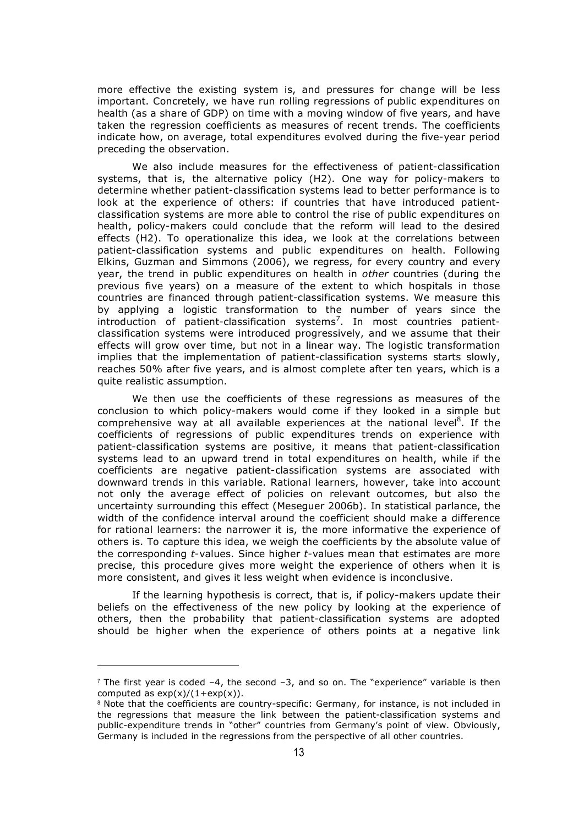more effective the existing system is, and pressures for change will be less important. Concretely, we have run rolling regressions of public expenditures on health (as a share of GDP) on time with a moving window of five years, and have taken the regression coefficients as measures of recent trends. The coefficients indicate how, on average, total expenditures evolved during the five-year period preceding the observation.

We also include measures for the effectiveness of patient-classification systems, that is, the alternative policy (H2). One way for policy-makers to determine whether patient-classification systems lead to better performance is to look at the experience of others: if countries that have introduced patientclassification systems are more able to control the rise of public expenditures on health, policy-makers could conclude that the reform will lead to the desired effects (H2). To operationalize this idea, we look at the correlations between patient-classification systems and public expenditures on health. Following Elkins, Guzman and Simmons (2006), we regress, for every country and every year, the trend in public expenditures on health in *other* countries (during the previous five years) on a measure of the extent to which hospitals in those countries are financed through patient-classification systems. We measure this by applying a logistic transformation to the number of years since the introduction of patient-classification systems<sup>7</sup>. In most countries patientclassification systems were introduced progressively, and we assume that their effects will grow over time, but not in a linear way. The logistic transformation implies that the implementation of patient-classification systems starts slowly, reaches 50% after five years, and is almost complete after ten years, which is a quite realistic assumption.

We then use the coefficients of these regressions as measures of the conclusion to which policy-makers would come if they looked in a simple but comprehensive way at all available experiences at the national level<sup>8</sup>. If the coefficients of regressions of public expenditures trends on experience with patient-classification systems are positive, it means that patient-classification systems lead to an upward trend in total expenditures on health, while if the coefficients are negative patient-classification systems are associated with downward trends in this variable. Rational learners, however, take into account not only the average effect of policies on relevant outcomes, but also the uncertainty surrounding this effect (Meseguer 2006b). In statistical parlance, the width of the confidence interval around the coefficient should make a difference for rational learners: the narrower it is, the more informative the experience of others is. To capture this idea, we weigh the coefficients by the absolute value of the corresponding *t*-values. Since higher *t*-values mean that estimates are more precise, this procedure gives more weight the experience of others when it is more consistent, and gives it less weight when evidence is inconclusive.

If the learning hypothesis is correct, that is, if policy-makers update their beliefs on the effectiveness of the new policy by looking at the experience of others, then the probability that patient-classification systems are adopted should be higher when the experience of others points at a negative link

l

 $<sup>7</sup>$  The first year is coded -4, the second -3, and so on. The "experience" variable is then</sup> computed as  $exp(x)/(1+exp(x))$ .

<sup>8</sup> Note that the coefficients are country-specific: Germany, for instance, is not included in the regressions that measure the link between the patient-classification systems and public-expenditure trends in "other" countries from Germany's point of view. Obviously, Germany is included in the regressions from the perspective of all other countries.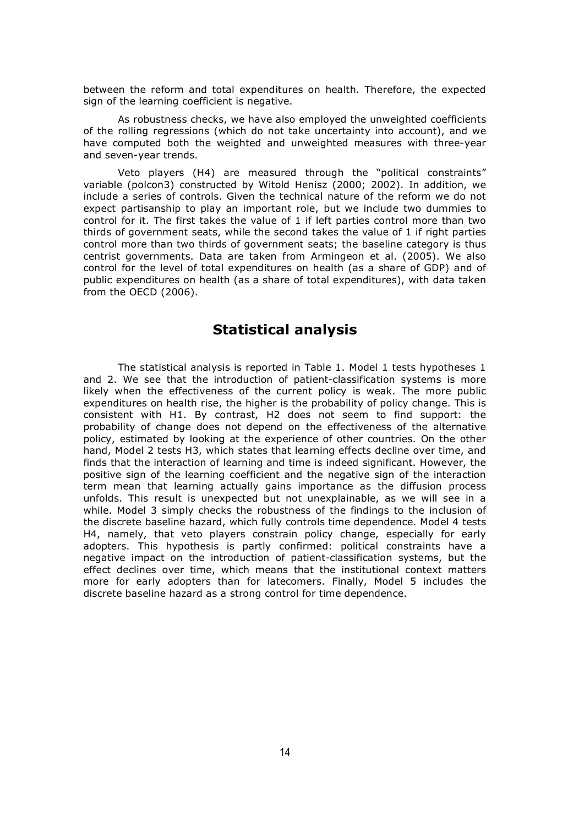between the reform and total expenditures on health. Therefore, the expected sign of the learning coefficient is negative.

As robustness checks, we have also employed the unweighted coefficients of the rolling regressions (which do not take uncertainty into account), and we have computed both the weighted and unweighted measures with three-year and seven-year trends.

Veto players (H4) are measured through the "political constraints" variable (polcon3) constructed by Witold Henisz (2000; 2002). In addition, we include a series of controls. Given the technical nature of the reform we do not expect partisanship to play an important role, but we include two dummies to control for it. The first takes the value of 1 if left parties control more than two thirds of government seats, while the second takes the value of 1 if right parties control more than two thirds of government seats; the baseline category is thus centrist governments. Data are taken from Armingeon et al. (2005). We also control for the level of total expenditures on health (as a share of GDP) and of public expenditures on health (as a share of total expenditures), with data taken from the OECD (2006).

#### **Statistical analysis**

The statistical analysis is reported in Table 1. Model 1 tests hypotheses 1 and 2. We see that the introduction of patient-classification systems is more likely when the effectiveness of the current policy is weak. The more public expenditures on health rise, the higher is the probability of policy change. This is consistent with H1. By contrast, H2 does not seem to find support: the probability of change does not depend on the effectiveness of the alternative policy, estimated by looking at the experience of other countries. On the other hand, Model 2 tests H3, which states that learning effects decline over time, and finds that the interaction of learning and time is indeed significant. However, the positive sign of the learning coefficient and the negative sign of the interaction term mean that learning actually gains importance as the diffusion process unfolds. This result is unexpected but not unexplainable, as we will see in a while. Model 3 simply checks the robustness of the findings to the inclusion of the discrete baseline hazard, which fully controls time dependence. Model 4 tests H4, namely, that veto players constrain policy change, especially for early adopters. This hypothesis is partly confirmed: political constraints have a negative impact on the introduction of patient-classification systems, but the effect declines over time, which means that the institutional context matters more for early adopters than for latecomers. Finally, Model 5 includes the discrete baseline hazard as a strong control for time dependence.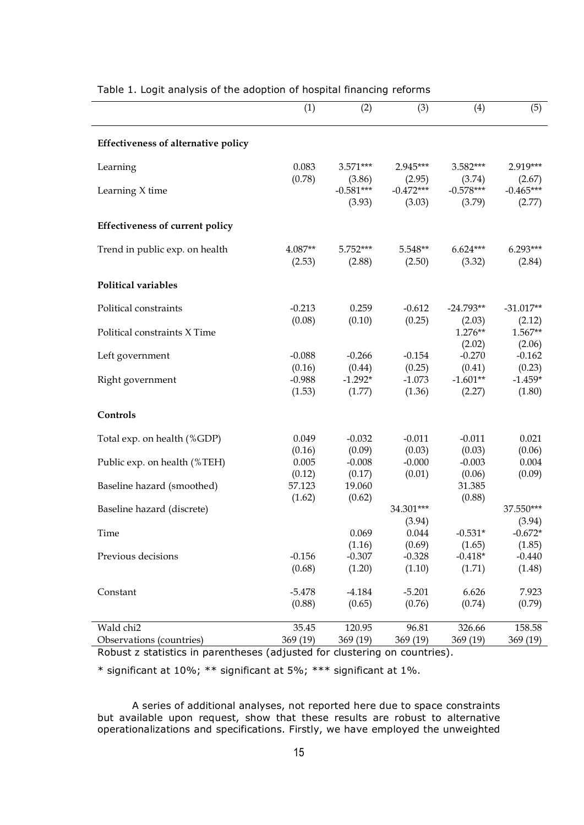|                                            | (1)              | (2)                   | (3)                   | (4)                   | (5)                   |
|--------------------------------------------|------------------|-----------------------|-----------------------|-----------------------|-----------------------|
| <b>Effectiveness of alternative policy</b> |                  |                       |                       |                       |                       |
| Learning                                   | 0.083            | 3.571***              | 2.945***              | 3.582***              | 2.919***              |
|                                            | (0.78)           | (3.86)<br>$-0.581***$ | (2.95)<br>$-0.472***$ | (3.74)<br>$-0.578***$ | (2.67)<br>$-0.465***$ |
| Learning X time                            |                  | (3.93)                | (3.03)                | (3.79)                | (2.77)                |
| <b>Effectiveness of current policy</b>     |                  |                       |                       |                       |                       |
| Trend in public exp. on health             | 4.087**          | 5.752***              | 5.548**               | $6.624***$            | 6.293***              |
|                                            | (2.53)           | (2.88)                | (2.50)                | (3.32)                | (2.84)                |
| Political variables                        |                  |                       |                       |                       |                       |
| Political constraints                      | $-0.213$         | 0.259                 | $-0.612$              | $-24.793**$           | $-31.017**$           |
|                                            | (0.08)           | (0.10)                | (0.25)                | (2.03)                | (2.12)                |
| Political constraints X Time               |                  |                       |                       | 1.276**<br>(2.02)     | 1.567**<br>(2.06)     |
| Left government                            | $-0.088$         | $-0.266$              | $-0.154$              | $-0.270$              | $-0.162$              |
|                                            | (0.16)           | (0.44)                | (0.25)                | (0.41)                | (0.23)                |
| Right government                           | $-0.988$         | $-1.292*$             | $-1.073$              | $-1.601**$            | $-1.459*$             |
|                                            | (1.53)           | (1.77)                | (1.36)                | (2.27)                | (1.80)                |
| Controls                                   |                  |                       |                       |                       |                       |
| Total exp. on health (%GDP)                | 0.049            | $-0.032$              | $-0.011$              | $-0.011$              | 0.021                 |
|                                            | (0.16)           | (0.09)                | (0.03)                | (0.03)                | (0.06)                |
| Public exp. on health (%TEH)               | 0.005            | $-0.008$              | $-0.000$              | $-0.003$              | 0.004                 |
| Baseline hazard (smoothed)                 | (0.12)<br>57.123 | (0.17)<br>19.060      | (0.01)                | (0.06)<br>31.385      | (0.09)                |
|                                            | (1.62)           | (0.62)                |                       | (0.88)                |                       |
| Baseline hazard (discrete)                 |                  |                       | 34.301***             |                       | 37.550***             |
|                                            |                  |                       | (3.94)                |                       | (3.94)                |
| Time                                       |                  | 0.069<br>(1.16)       | 0.044<br>(0.69)       | $-0.531*$<br>(1.65)   | $-0.672*$<br>(1.85)   |
| Previous decisions                         | $-0.156$         | $-0.307$              | $-0.328$              | $-0.418*$             | $-0.440$              |
|                                            | (0.68)           | (1.20)                | (1.10)                | (1.71)                | (1.48)                |
| Constant                                   | $-5.478$         | $-4.184$              | $-5.201$              | 6.626                 | 7.923                 |
|                                            | (0.88)           | (0.65)                | (0.76)                | (0.74)                | (0.79)                |
| Wald chi2                                  | 35.45            | 120.95                | 96.81                 | 326.66                | 158.58                |
| Observations (countries)                   | 369 (19)         | 369 (19)              | 369 (19)              | 369 (19)              | 369(19)               |

#### Table 1. Logit analysis of the adoption of hospital financing reforms

Robust z statistics in parentheses (adjusted for clustering on countries).

\* significant at 10%; \*\* significant at 5%; \*\*\* significant at 1%.

A series of additional analyses, not reported here due to space constraints but available upon request, show that these results are robust to alternative operationalizations and specifications. Firstly, we have employed the unweighted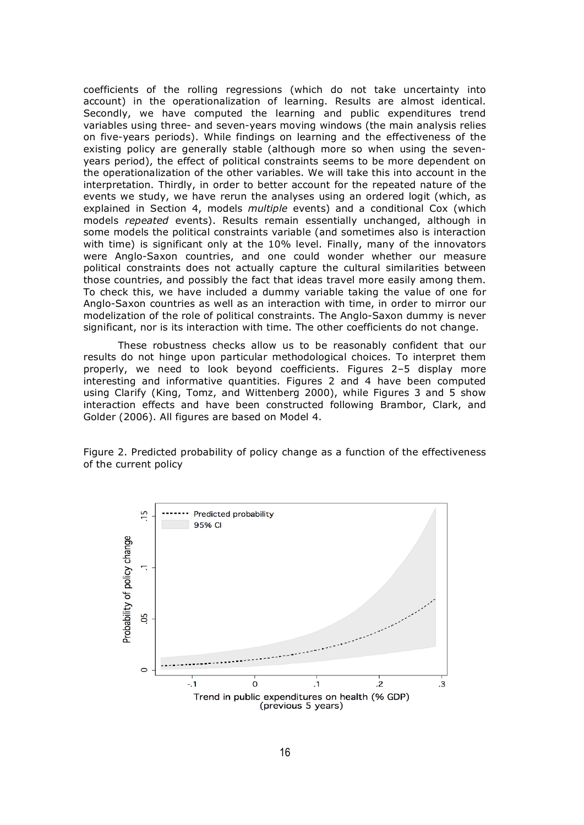coefficients of the rolling regressions (which do not take uncertainty into account) in the operationalization of learning. Results are almost identical. Secondly, we have computed the learning and public expenditures trend variables using three- and seven-years moving windows (the main analysis relies on five-years periods). While findings on learning and the effectiveness of the existing policy are generally stable (although more so when using the sevenyears period), the effect of political constraints seems to be more dependent on the operationalization of the other variables. We will take this into account in the interpretation. Thirdly, in order to better account for the repeated nature of the events we study, we have rerun the analyses using an ordered logit (which, as explained in Section 4, models *multiple* events) and a conditional Cox (which models *repeated* events). Results remain essentially unchanged, although in some models the political constraints variable (and sometimes also is interaction with time) is significant only at the 10% level. Finally, many of the innovators were Anglo-Saxon countries, and one could wonder whether our measure political constraints does not actually capture the cultural similarities between those countries, and possibly the fact that ideas travel more easily among them. To check this, we have included a dummy variable taking the value of one for Anglo-Saxon countries as well as an interaction with time, in order to mirror our modelization of the role of political constraints. The Anglo-Saxon dummy is never significant, nor is its interaction with time. The other coefficients do not change.

These robustness checks allow us to be reasonably confident that our results do not hinge upon particular methodological choices. To interpret them properly, we need to look beyond coefficients. Figures 2–5 display more interesting and informative quantities. Figures 2 and 4 have been computed using Clarify (King, Tomz, and Wittenberg 2000), while Figures 3 and 5 show interaction effects and have been constructed following Brambor, Clark, and Golder (2006). All figures are based on Model 4.

Figure 2. Predicted probability of policy change as a function of the effectiveness of the current policy

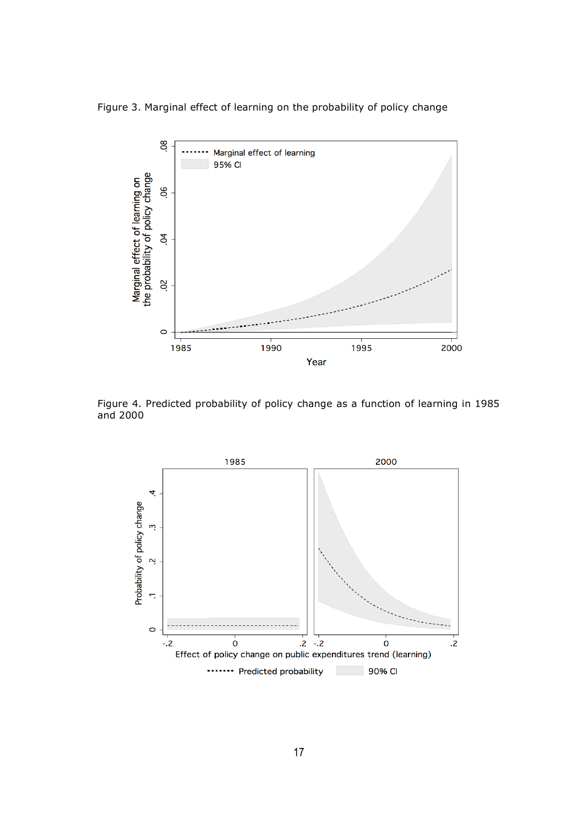Figure 3. Marginal effect of learning on the probability of policy change



Figure 4. Predicted probability of policy change as a function of learning in 1985 and 2000

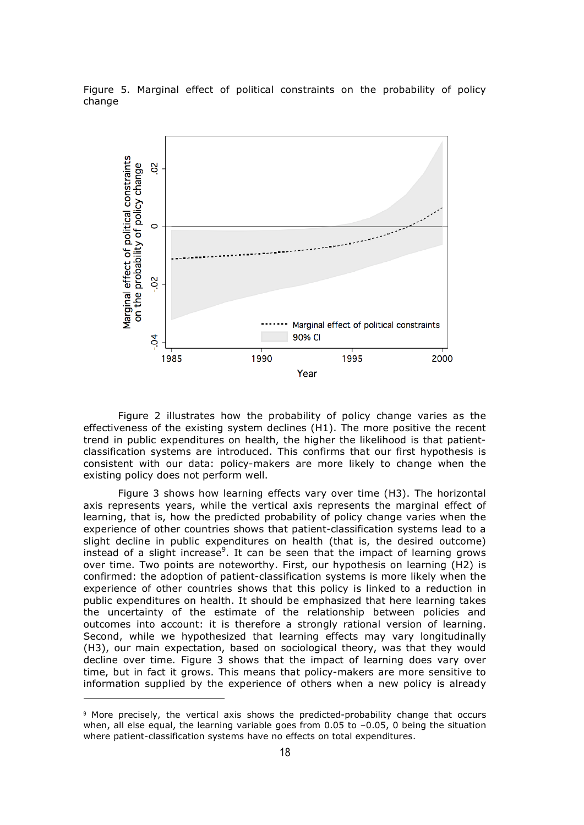Figure 5. Marginal effect of political constraints on the probability of policy change



Figure 2 illustrates how the probability of policy change varies as the effectiveness of the existing system declines (H1). The more positive the recent trend in public expenditures on health, the higher the likelihood is that patientclassification systems are introduced. This confirms that our first hypothesis is consistent with our data: policy-makers are more likely to change when the existing policy does not perform well.

Figure 3 shows how learning effects vary over time (H3). The horizontal axis represents years, while the vertical axis represents the marginal effect of learning, that is, how the predicted probability of policy change varies when the experience of other countries shows that patient-classification systems lead to a slight decline in public expenditures on health (that is, the desired outcome) instead of a slight increase<sup>9</sup>. It can be seen that the impact of learning grows over time. Two points are noteworthy. First, our hypothesis on learning (H2) is confirmed: the adoption of patient-classification systems is more likely when the experience of other countries shows that this policy is linked to a reduction in public expenditures on health. It should be emphasized that here learning takes the uncertainty of the estimate of the relationship between policies and outcomes into account: it is therefore a strongly rational version of learning. Second, while we hypothesized that learning effects may vary longitudinally (H3), our main expectation, based on sociological theory, was that they would decline over time. Figure 3 shows that the impact of learning does vary over time, but in fact it grows. This means that policy-makers are more sensitive to information supplied by the experience of others when a new policy is already

-

<sup>9</sup> More precisely, the vertical axis shows the predicted-probability change that occurs when, all else equal, the learning variable goes from 0.05 to –0.05, 0 being the situation where patient-classification systems have no effects on total expenditures.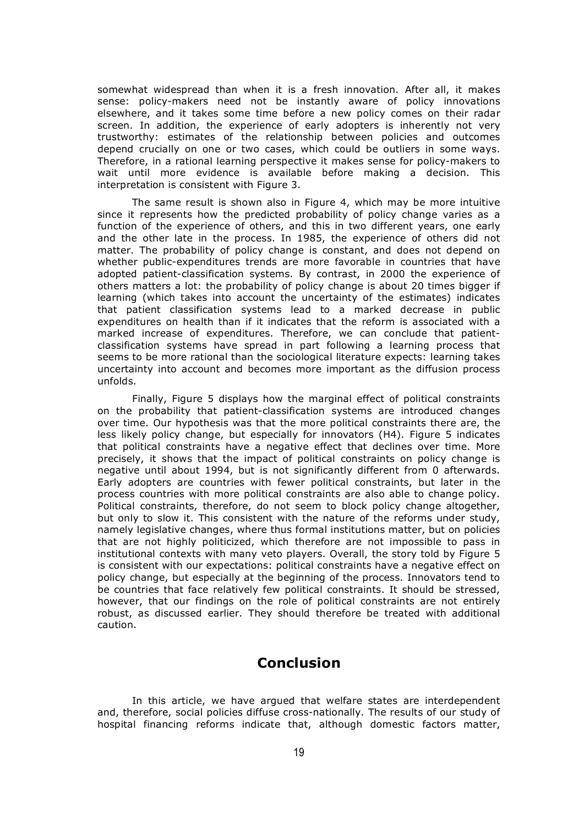somewhat widespread than when it is a fresh innovation. After all, it makes sense: policy-makers need not be instantly aware of policy innovations elsewhere, and it takes some time before a new policy comes on their radar screen. In addition, the experience of early adopters is inherently not very trustworthy: estimates of the relationship between policies and outcomes depend crucially on one or two cases, which could be outliers in some ways. Therefore, in a rational learning perspective it makes sense for policy-makers to wait until more evidence is available before making a decision. This interpretation is consistent with Figure 3.

The same result is shown also in Figure 4, which may be more intuitive since it represents how the predicted probability of policy change varies as a function of the experience of others, and this in two different years, one early and the other late in the process. In 1985, the experience of others did not matter. The probability of policy change is constant, and does not depend on whether public-expenditures trends are more favorable in countries that have adopted patient-classification systems. By contrast, in 2000 the experience of others matters a lot: the probability of policy change is about 20 times bigger if learning (which takes into account the uncertainty of the estimates) indicates that patient classification systems lead to a marked decrease in public expenditures on health than if it indicates that the reform is associated with a marked increase of expenditures. Therefore, we can conclude that patientclassification systems have spread in part following a learning process that seems to be more rational than the sociological literature expects: learning takes uncertainty into account and becomes more important as the diffusion process unfolds.

Finally, Figure 5 displays how the marginal effect of political constraints on the probability that patient-classification systems are introduced changes over time. Our hypothesis was that the more political constraints there are, the less likely policy change, but especially for innovators (H4). Figure 5 indicates that political constraints have a negative effect that declines over time. More precisely, it shows that the impact of political constraints on policy change is negative until about 1994, but is not significantly different from 0 afterwards. Early adopters are countries with fewer political constraints, but later in the process countries with more political constraints are also able to change policy. Political constraints, therefore, do not seem to block policy change altogether, but only to slow it. This consistent with the nature of the reforms under study, namely legislative changes, where thus formal institutions matter, but on policies that are not highly politicized, which therefore are not impossible to pass in institutional contexts with many veto players. Overall, the story told by Figure 5 is consistent with our expectations: political constraints have a negative effect on policy change, but especially at the beginning of the process. Innovators tend to be countries that face relatively few political constraints. It should be stressed, however, that our findings on the role of political constraints are not entirely robust, as discussed earlier. They should therefore be treated with additional caution.

#### **Conclusion**

In this article, we have argued that welfare states are interdependent and, therefore, social policies diffuse cross-nationally. The results of our study of hospital financing reforms indicate that, although domestic factors matter,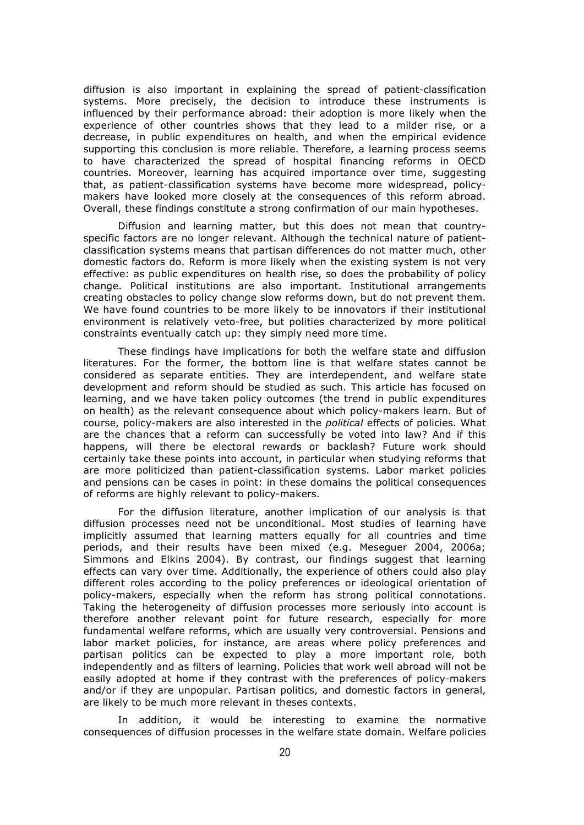diffusion is also important in explaining the spread of patient-classification systems. More precisely, the decision to introduce these instruments is influenced by their performance abroad: their adoption is more likely when the experience of other countries shows that they lead to a milder rise, or a decrease, in public expenditures on health, and when the empirical evidence supporting this conclusion is more reliable. Therefore, a learning process seems to have characterized the spread of hospital financing reforms in OECD countries. Moreover, learning has acquired importance over time, suggesting that, as patient-classification systems have become more widespread, policymakers have looked more closely at the consequences of this reform abroad. Overall, these findings constitute a strong confirmation of our main hypotheses.

Diffusion and learning matter, but this does not mean that countryspecific factors are no longer relevant. Although the technical nature of patientclassification systems means that partisan differences do not matter much, other domestic factors do. Reform is more likely when the existing system is not very effective: as public expenditures on health rise, so does the probability of policy change. Political institutions are also important. Institutional arrangements creating obstacles to policy change slow reforms down, but do not prevent them. We have found countries to be more likely to be innovators if their institutional environment is relatively veto-free, but polities characterized by more political constraints eventually catch up: they simply need more time.

These findings have implications for both the welfare state and diffusion literatures. For the former, the bottom line is that welfare states cannot be considered as separate entities. They are interdependent, and welfare state development and reform should be studied as such. This article has focused on learning, and we have taken policy outcomes (the trend in public expenditures on health) as the relevant consequence about which policy-makers learn. But of course, policy-makers are also interested in the *political* effects of policies. What are the chances that a reform can successfully be voted into law? And if this happens, will there be electoral rewards or backlash? Future work should certainly take these points into account, in particular when studying reforms that are more politicized than patient-classification systems. Labor market policies and pensions can be cases in point: in these domains the political consequences of reforms are highly relevant to policy-makers.

For the diffusion literature, another implication of our analysis is that diffusion processes need not be unconditional. Most studies of learning have implicitly assumed that learning matters equally for all countries and time periods, and their results have been mixed (e.g. Meseguer 2004, 2006a; Simmons and Elkins 2004). By contrast, our findings suggest that learning effects can vary over time. Additionally, the experience of others could also play different roles according to the policy preferences or ideological orientation of policy-makers, especially when the reform has strong political connotations. Taking the heterogeneity of diffusion processes more seriously into account is therefore another relevant point for future research, especially for more fundamental welfare reforms, which are usually very controversial. Pensions and labor market policies, for instance, are areas where policy preferences and partisan politics can be expected to play a more important role, both independently and as filters of learning. Policies that work well abroad will not be easily adopted at home if they contrast with the preferences of policy-makers and/or if they are unpopular. Partisan politics, and domestic factors in general, are likely to be much more relevant in theses contexts.

In addition, it would be interesting to examine the normative consequences of diffusion processes in the welfare state domain. Welfare policies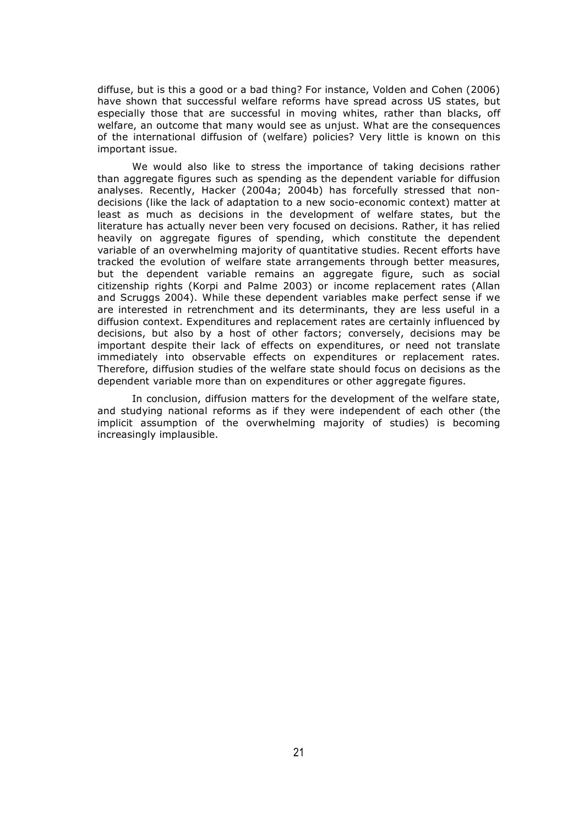diffuse, but is this a good or a bad thing? For instance, Volden and Cohen (2006) have shown that successful welfare reforms have spread across US states, but especially those that are successful in moving whites, rather than blacks, off welfare, an outcome that many would see as unjust. What are the consequences of the international diffusion of (welfare) policies? Very little is known on this important issue.

We would also like to stress the importance of taking decisions rather than aggregate figures such as spending as the dependent variable for diffusion analyses. Recently, Hacker (2004a; 2004b) has forcefully stressed that nondecisions (like the lack of adaptation to a new socio-economic context) matter at least as much as decisions in the development of welfare states, but the literature has actually never been very focused on decisions. Rather, it has relied heavily on aggregate figures of spending, which constitute the dependent variable of an overwhelming majority of quantitative studies. Recent efforts have tracked the evolution of welfare state arrangements through better measures, but the dependent variable remains an aggregate figure, such as social citizenship rights (Korpi and Palme 2003) or income replacement rates (Allan and Scruggs 2004). While these dependent variables make perfect sense if we are interested in retrenchment and its determinants, they are less useful in a diffusion context. Expenditures and replacement rates are certainly influenced by decisions, but also by a host of other factors; conversely, decisions may be important despite their lack of effects on expenditures, or need not translate immediately into observable effects on expenditures or replacement rates. Therefore, diffusion studies of the welfare state should focus on decisions as the dependent variable more than on expenditures or other aggregate figures.

In conclusion, diffusion matters for the development of the welfare state, and studying national reforms as if they were independent of each other (the implicit assumption of the overwhelming majority of studies) is becoming increasingly implausible.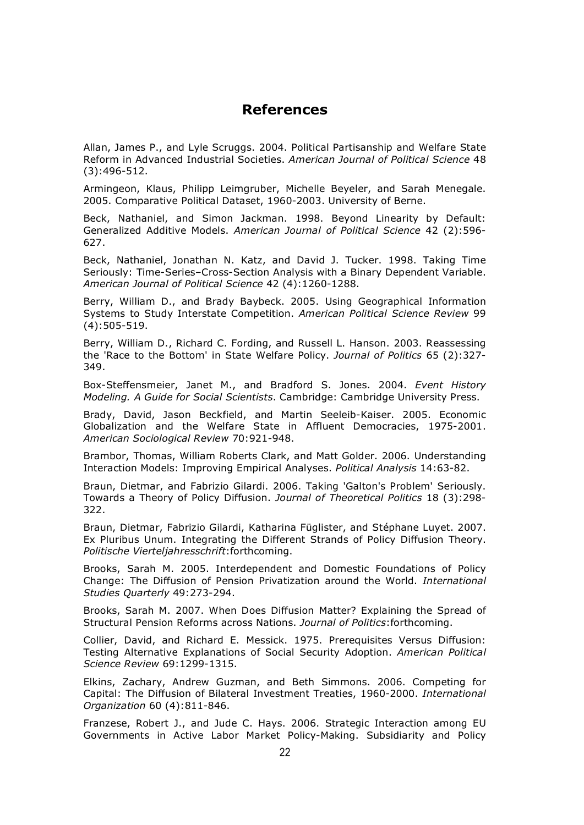#### **References**

Allan, James P., and Lyle Scruggs. 2004. Political Partisanship and Welfare State Reform in Advanced Industrial Societies. *American Journal of Political Science* 48 (3):496-512.

Armingeon, Klaus, Philipp Leimgruber, Michelle Beyeler, and Sarah Menegale. 2005. Comparative Political Dataset, 1960-2003. University of Berne.

Beck, Nathaniel, and Simon Jackman. 1998. Beyond Linearity by Default: Generalized Additive Models. *American Journal of Political Science* 42 (2):596- 627.

Beck, Nathaniel, Jonathan N. Katz, and David J. Tucker. 1998. Taking Time Seriously: Time-Series–Cross-Section Analysis with a Binary Dependent Variable. *American Journal of Political Science* 42 (4):1260-1288.

Berry, William D., and Brady Baybeck. 2005. Using Geographical Information Systems to Study Interstate Competition. *American Political Science Review* 99 (4):505-519.

Berry, William D., Richard C. Fording, and Russell L. Hanson. 2003. Reassessing the 'Race to the Bottom' in State Welfare Policy. *Journal of Politics* 65 (2):327- 349.

Box-Steffensmeier, Janet M., and Bradford S. Jones. 2004. *Event History Modeling. A Guide for Social Scientists*. Cambridge: Cambridge University Press.

Brady, David, Jason Beckfield, and Martin Seeleib-Kaiser. 2005. Economic Globalization and the Welfare State in Affluent Democracies, 1975-2001. *American Sociological Review* 70:921-948.

Brambor, Thomas, William Roberts Clark, and Matt Golder. 2006. Understanding Interaction Models: Improving Empirical Analyses. *Political Analysis* 14:63-82.

Braun, Dietmar, and Fabrizio Gilardi. 2006. Taking 'Galton's Problem' Seriously. Towards a Theory of Policy Diffusion. *Journal of Theoretical Politics* 18 (3):298- 322.

Braun, Dietmar, Fabrizio Gilardi, Katharina Füglister, and Stéphane Luyet. 2007. Ex Pluribus Unum. Integrating the Different Strands of Policy Diffusion Theory. *Politische Vierteljahresschrift*:forthcoming.

Brooks, Sarah M. 2005. Interdependent and Domestic Foundations of Policy Change: The Diffusion of Pension Privatization around the World. *International Studies Quarterly* 49:273-294.

Brooks, Sarah M. 2007. When Does Diffusion Matter? Explaining the Spread of Structural Pension Reforms across Nations. *Journal of Politics*:forthcoming.

Collier, David, and Richard E. Messick. 1975. Prerequisites Versus Diffusion: Testing Alternative Explanations of Social Security Adoption. *American Political Science Review* 69:1299-1315.

Elkins, Zachary, Andrew Guzman, and Beth Simmons. 2006. Competing for Capital: The Diffusion of Bilateral Investment Treaties, 1960-2000. *International Organization* 60 (4):811-846.

Franzese, Robert J., and Jude C. Hays. 2006. Strategic Interaction among EU Governments in Active Labor Market Policy-Making. Subsidiarity and Policy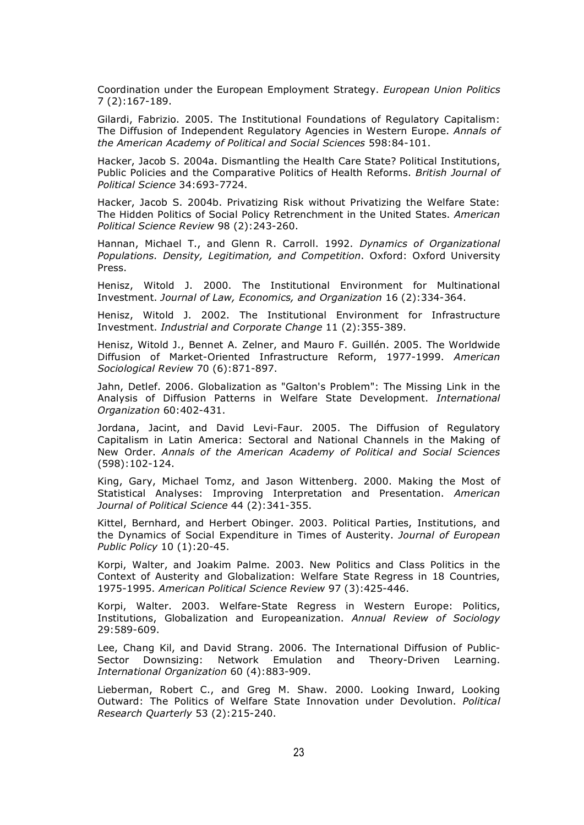Coordination under the European Employment Strategy. *European Union Politics* 7 (2):167-189.

Gilardi, Fabrizio. 2005. The Institutional Foundations of Regulatory Capitalism: The Diffusion of Independent Regulatory Agencies in Western Europe. *Annals of the American Academy of Political and Social Sciences* 598:84-101.

Hacker, Jacob S. 2004a. Dismantling the Health Care State? Political Institutions, Public Policies and the Comparative Politics of Health Reforms. *British Journal of Political Science* 34:693-7724.

Hacker, Jacob S. 2004b. Privatizing Risk without Privatizing the Welfare State: The Hidden Politics of Social Policy Retrenchment in the United States. *American Political Science Review* 98 (2):243-260.

Hannan, Michael T., and Glenn R. Carroll. 1992. *Dynamics of Organizational Populations. Density, Legitimation, and Competition*. Oxford: Oxford University Press.

Henisz, Witold J. 2000. The Institutional Environment for Multinational Investment. *Journal of Law, Economics, and Organization* 16 (2):334-364.

Henisz, Witold J. 2002. The Institutional Environment for Infrastructure Investment. *Industrial and Corporate Change* 11 (2):355-389.

Henisz, Witold J., Bennet A. Zelner, and Mauro F. Guillén. 2005. The Worldwide Diffusion of Market-Oriented Infrastructure Reform, 1977-1999. *American Sociological Review* 70 (6):871-897.

Jahn, Detlef. 2006. Globalization as "Galton's Problem": The Missing Link in the Analysis of Diffusion Patterns in Welfare State Development. *International Organization* 60:402-431.

Jordana, Jacint, and David Levi-Faur. 2005. The Diffusion of Regulatory Capitalism in Latin America: Sectoral and National Channels in the Making of New Order. *Annals of the American Academy of Political and Social Sciences* (598):102-124.

King, Gary, Michael Tomz, and Jason Wittenberg. 2000. Making the Most of Statistical Analyses: Improving Interpretation and Presentation. *American Journal of Political Science* 44 (2):341-355.

Kittel, Bernhard, and Herbert Obinger. 2003. Political Parties, Institutions, and the Dynamics of Social Expenditure in Times of Austerity. *Journal of European Public Policy* 10 (1):20-45.

Korpi, Walter, and Joakim Palme. 2003. New Politics and Class Politics in the Context of Austerity and Globalization: Welfare State Regress in 18 Countries, 1975-1995. *American Political Science Review* 97 (3):425-446.

Korpi, Walter. 2003. Welfare-State Regress in Western Europe: Politics, Institutions, Globalization and Europeanization. *Annual Review of Sociology* 29:589-609.

Lee, Chang Kil, and David Strang. 2006. The International Diffusion of Public-Sector Downsizing: Network Emulation and Theory-Driven Learning. *International Organization* 60 (4):883-909.

Lieberman, Robert C., and Greg M. Shaw. 2000. Looking Inward, Looking Outward: The Politics of Welfare State Innovation under Devolution. *Political Research Quarterly* 53 (2):215-240.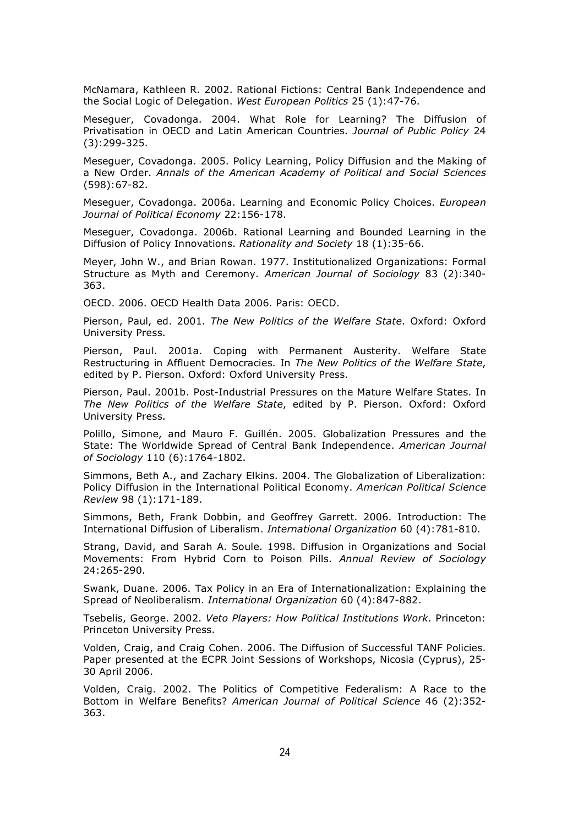McNamara, Kathleen R. 2002. Rational Fictions: Central Bank Independence and the Social Logic of Delegation. *West European Politics* 25 (1):47-76.

Meseguer, Covadonga. 2004. What Role for Learning? The Diffusion of Privatisation in OECD and Latin American Countries. *Journal of Public Policy* 24 (3):299-325.

Meseguer, Covadonga. 2005. Policy Learning, Policy Diffusion and the Making of a New Order. *Annals of the American Academy of Political and Social Sciences* (598):67-82.

Meseguer, Covadonga. 2006a. Learning and Economic Policy Choices. *European Journal of Political Economy* 22:156-178.

Meseguer, Covadonga. 2006b. Rational Learning and Bounded Learning in the Diffusion of Policy Innovations. *Rationality and Society* 18 (1):35-66.

Meyer, John W., and Brian Rowan. 1977. Institutionalized Organizations: Formal Structure as Myth and Ceremony. *American Journal of Sociology* 83 (2):340- 363.

OECD. 2006. OECD Health Data 2006. Paris: OECD.

Pierson, Paul, ed. 2001. *The New Politics of the Welfare State*. Oxford: Oxford University Press.

Pierson, Paul. 2001a. Coping with Permanent Austerity. Welfare State Restructuring in Affluent Democracies. In *The New Politics of the Welfare State*, edited by P. Pierson. Oxford: Oxford University Press.

Pierson, Paul. 2001b. Post-Industrial Pressures on the Mature Welfare States. In *The New Politics of the Welfare State*, edited by P. Pierson. Oxford: Oxford University Press.

Polillo, Simone, and Mauro F. Guillén. 2005. Globalization Pressures and the State: The Worldwide Spread of Central Bank Independence. *American Journal of Sociology* 110 (6):1764-1802.

Simmons, Beth A., and Zachary Elkins. 2004. The Globalization of Liberalization: Policy Diffusion in the International Political Economy. *American Political Science Review* 98 (1):171-189.

Simmons, Beth, Frank Dobbin, and Geoffrey Garrett. 2006. Introduction: The International Diffusion of Liberalism. *International Organization* 60 (4):781-810.

Strang, David, and Sarah A. Soule. 1998. Diffusion in Organizations and Social Movements: From Hybrid Corn to Poison Pills. *Annual Review of Sociology* 24:265-290.

Swank, Duane. 2006. Tax Policy in an Era of Internationalization: Explaining the Spread of Neoliberalism. *International Organization* 60 (4):847-882.

Tsebelis, George. 2002. *Veto Players: How Political Institutions Work*. Princeton: Princeton University Press.

Volden, Craig, and Craig Cohen. 2006. The Diffusion of Successful TANF Policies. Paper presented at the ECPR Joint Sessions of Workshops, Nicosia (Cyprus), 25- 30 April 2006.

Volden, Craig. 2002. The Politics of Competitive Federalism: A Race to the Bottom in Welfare Benefits? *American Journal of Political Science* 46 (2):352- 363.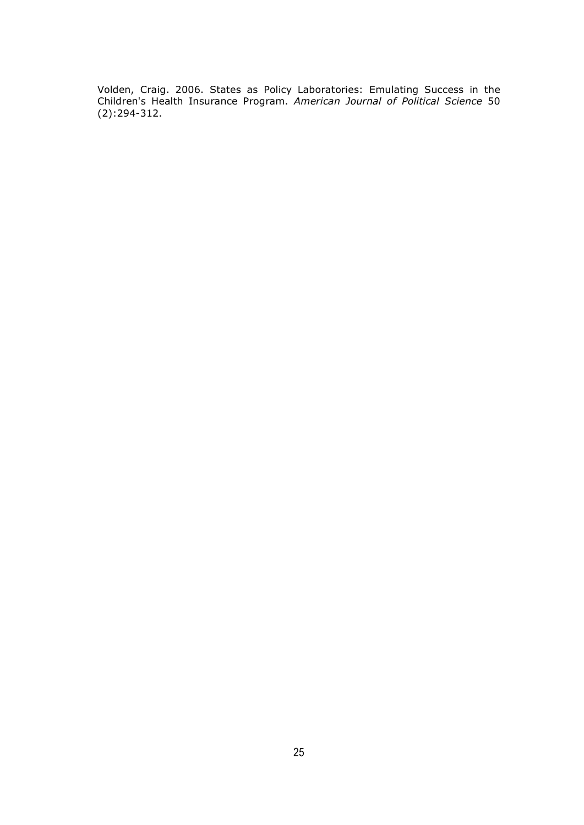Volden, Craig. 2006. States as Policy Laboratories: Emulating Success in the Children's Health Insurance Program. *American Journal of Political Science* 50 (2):294-312.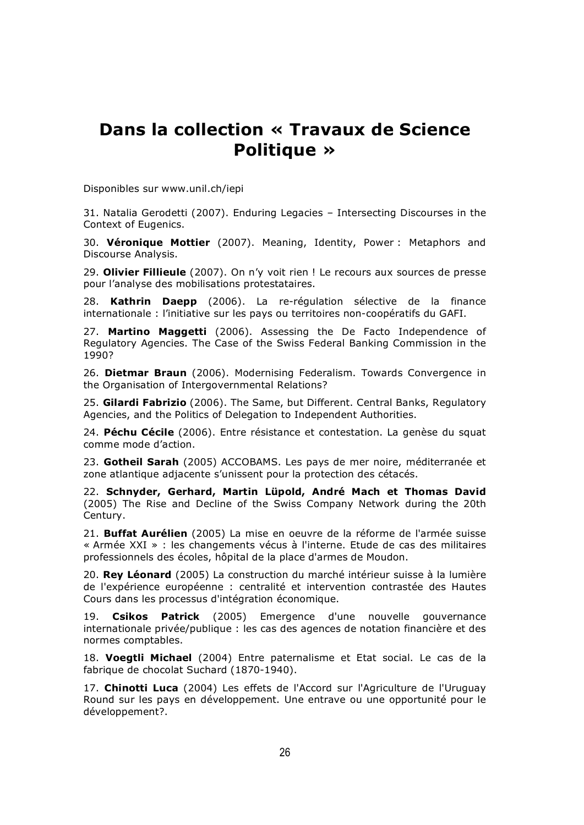# **Dans la collection « Travaux de Science Politique »**

Disponibles sur www.unil.ch/iepi

31. Natalia Gerodetti (2007). Enduring Legacies – Intersecting Discourses in the Context of Eugenics.

30. **Véronique Mottier** (2007). Meaning, Identity, Power : Metaphors and Discourse Analysis.

29. **Olivier Fillieule** (2007). On n'y voit rien ! Le recours aux sources de presse pour l'analyse des mobilisations protestataires.

28. **Kathrin Daepp** (2006). La re-régulation sélective de la finance internationale : l'initiative sur les pays ou territoires non-coopératifs du GAFI.

27. **Martino Maggetti** (2006). Assessing the De Facto Independence of Regulatory Agencies. The Case of the Swiss Federal Banking Commission in the 1990?

26. **Dietmar Braun** (2006). Modernising Federalism. Towards Convergence in the Organisation of Intergovernmental Relations?

25. **Gilardi Fabrizio** (2006). The Same, but Different. Central Banks, Regulatory Agencies, and the Politics of Delegation to Independent Authorities.

24. **Péchu Cécile** (2006). Entre résistance et contestation. La genèse du squat comme mode d'action.

23. **Gotheil Sarah** (2005) ACCOBAMS. Les pays de mer noire, méditerranée et zone atlantique adjacente s'unissent pour la protection des cétacés.

22. **Schnyder, Gerhard, Martin Lüpold, André Mach et Thomas David** (2005) The Rise and Decline of the Swiss Company Network during the 20th Century.

21. **Buffat Aurélien** (2005) La mise en oeuvre de la réforme de l'armée suisse « Armée XXI » : les changements vécus à l'interne. Etude de cas des militaires professionnels des écoles, hôpital de la place d'armes de Moudon.

20. **Rey Léonard** (2005) La construction du marché intérieur suisse à la lumière de l'expérience européenne : centralité et intervention contrastée des Hautes Cours dans les processus d'intégration économique.

19. **Csikos Patrick** (2005) Emergence d'une nouvelle gouvernance internationale privée/publique : les cas des agences de notation financière et des normes comptables.

18. **Voegtli Michael** (2004) Entre paternalisme et Etat social. Le cas de la fabrique de chocolat Suchard (1870-1940).

17. **Chinotti Luca** (2004) Les effets de l'Accord sur l'Agriculture de l'Uruguay Round sur les pays en développement. Une entrave ou une opportunité pour le développement?.